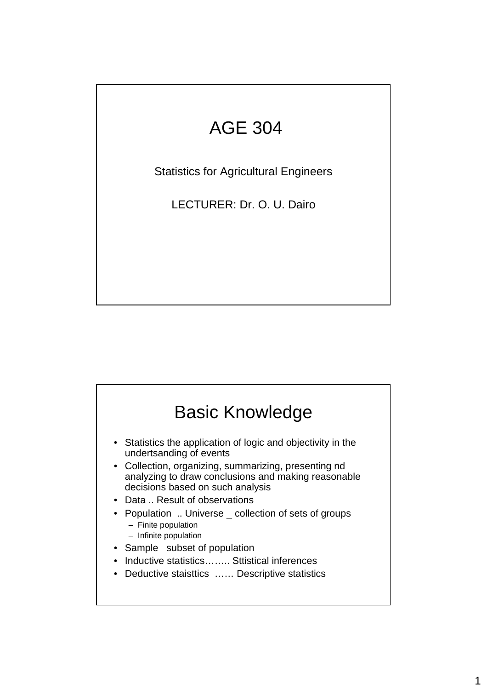## AGE 304

Statistics for Agricultural Engineers

LECTURER: Dr. O. U. Dairo

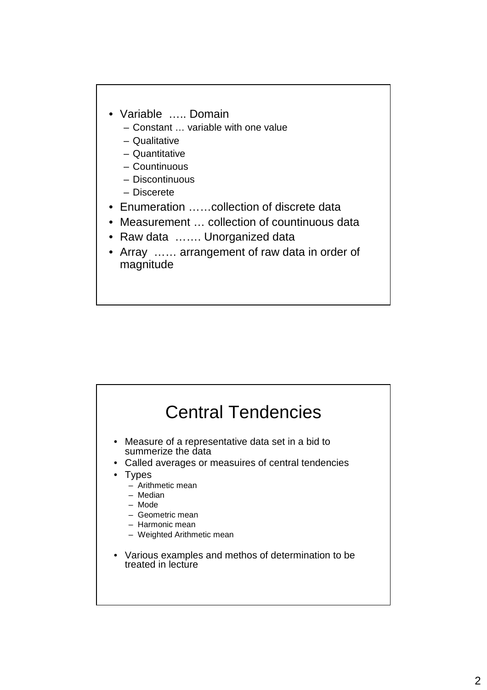- Variable ….. Domain
	- Constant … variable with one value
	- Qualitative
	- Quantitative
	- Countinuous
	- Discontinuous
	- Discerete
- Enumeration ……collection of discrete data
- Measurement … collection of countinuous data
- Raw data ……. Unorganized data
- Array …… arrangement of raw data in order of magnitude

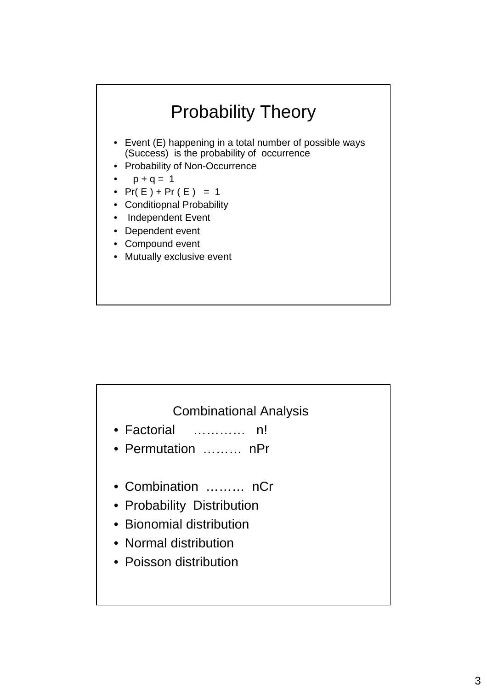

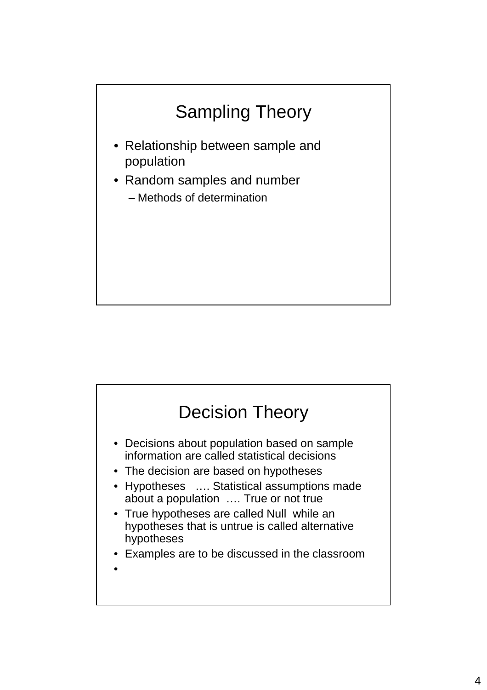

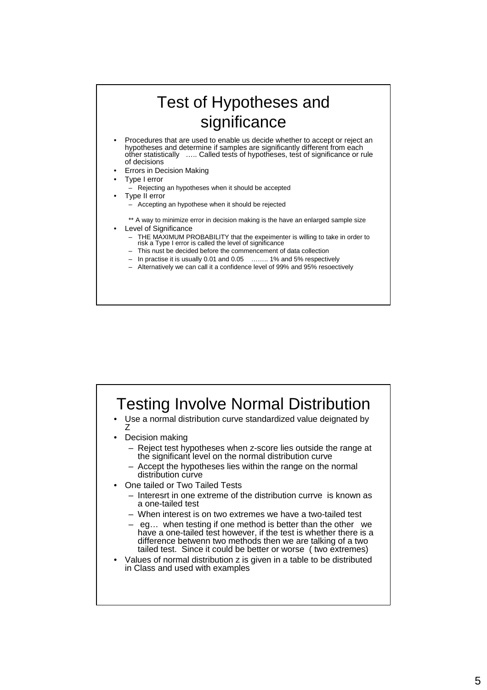

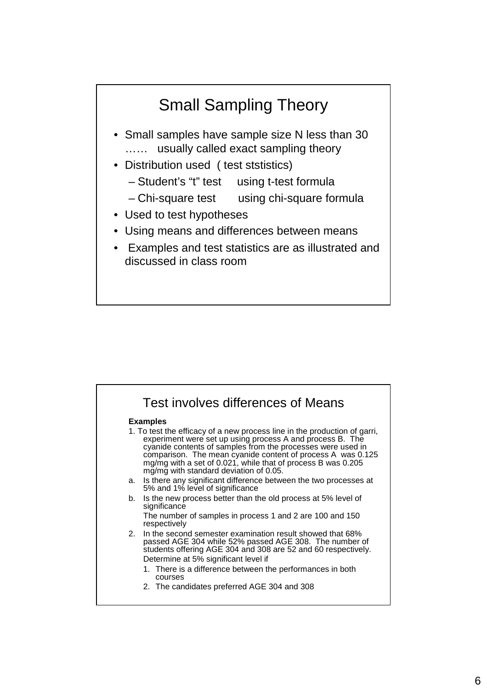